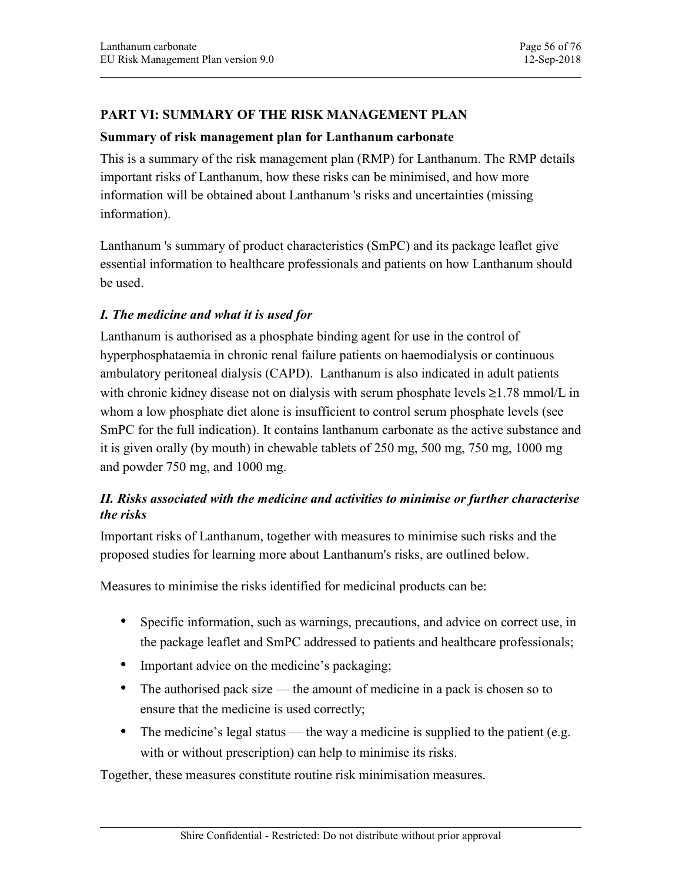## PART VI: SUMMARY OF THE RISK MANAGEMENT PLAN

### Summary of risk management plan for Lanthanum carbonate

This is a summary of the risk management plan (RMP) for Lanthanum. The RMP details important risks of Lanthanum, how these risks can be minimised, and how more information will be obtained about Lanthanum 's risks and uncertainties (missing information).

Lanthanum 's summary of product characteristics (SmPC) and its package leaflet give essential information to healthcare professionals and patients on how Lanthanum should be used.

## I. The medicine and what it is used for

Lanthanum is authorised as a phosphate binding agent for use in the control of hyperphosphataemia in chronic renal failure patients on haemodialysis or continuous ambulatory peritoneal dialysis (CAPD). Lanthanum is also indicated in adult patients with chronic kidney disease not on dialysis with serum phosphate levels  $\geq 1.78$  mmol/L in whom a low phosphate diet alone is insufficient to control serum phosphate levels (see SmPC for the full indication). It contains lanthanum carbonate as the active substance and it is given orally (by mouth) in chewable tablets of 250 mg, 500 mg, 750 mg, 1000 mg and powder 750 mg, and 1000 mg.

## II. Risks associated with the medicine and activities to minimise or further characterise the risks

Important risks of Lanthanum, together with measures to minimise such risks and the proposed studies for learning more about Lanthanum's risks, are outlined below.

Measures to minimise the risks identified for medicinal products can be:

- Specific information, such as warnings, precautions, and advice on correct use, in the package leaflet and SmPC addressed to patients and healthcare professionals;
- Important advice on the medicine's packaging;
- The authorised pack size the amount of medicine in a pack is chosen so to ensure that the medicine is used correctly;
- The medicine's legal status the way a medicine is supplied to the patient (e.g. with or without prescription) can help to minimise its risks.

Together, these measures constitute routine risk minimisation measures.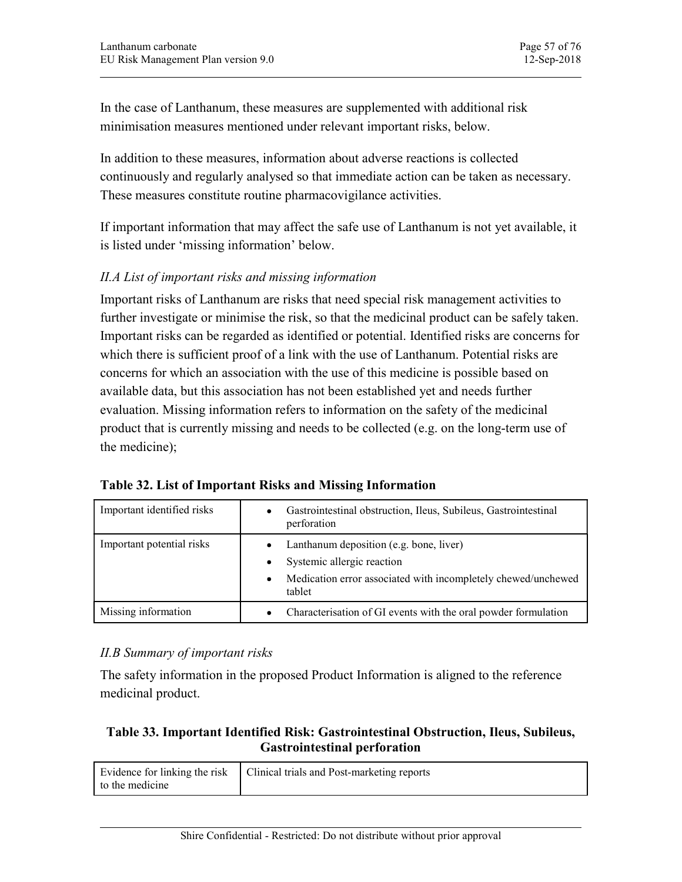In the case of Lanthanum, these measures are supplemented with additional risk minimisation measures mentioned under relevant important risks, below.

In addition to these measures, information about adverse reactions is collected continuously and regularly analysed so that immediate action can be taken as necessary. These measures constitute routine pharmacovigilance activities.

If important information that may affect the safe use of Lanthanum is not yet available, it is listed under 'missing information' below.

## II.A List of important risks and missing information

Important risks of Lanthanum are risks that need special risk management activities to further investigate or minimise the risk, so that the medicinal product can be safely taken. Important risks can be regarded as identified or potential. Identified risks are concerns for which there is sufficient proof of a link with the use of Lanthanum. Potential risks are concerns for which an association with the use of this medicine is possible based on available data, but this association has not been established yet and needs further evaluation. Missing information refers to information on the safety of the medicinal product that is currently missing and needs to be collected (e.g. on the long-term use of the medicine);

| the medicine);                                                                                                             |                                                                                                                                                               |  |
|----------------------------------------------------------------------------------------------------------------------------|---------------------------------------------------------------------------------------------------------------------------------------------------------------|--|
| Table 32. List of Important Risks and Missing Information                                                                  |                                                                                                                                                               |  |
| Important identified risks                                                                                                 | Gastrointestinal obstruction, Ileus, Subileus, Gastrointestinal<br>$\bullet$<br>perforation                                                                   |  |
| Important potential risks                                                                                                  | Lanthanum deposition (e.g. bone, liver)<br>$\bullet$<br>Systemic allergic reaction<br>Medication error associated with incompletely chewed/unchewed<br>tablet |  |
| Missing information                                                                                                        | Characterisation of GI events with the oral powder formulation<br>٠                                                                                           |  |
| II.B Summary of important risks<br>medicinal product.                                                                      | The safety information in the proposed Product Information is aligned to the reference                                                                        |  |
| Table 33. Important Identified Risk: Gastrointestinal Obstruction, Ileus, Subileus,<br><b>Gastrointestinal perforation</b> |                                                                                                                                                               |  |
| Evidence for linking the risk<br>to the medicine                                                                           | Clinical trials and Post-marketing reports                                                                                                                    |  |
|                                                                                                                            |                                                                                                                                                               |  |

Table 32. List of Important Risks and Missing Information

## II.B Summary of important risks

# Gastrointestinal perforation

| Evidence for linking the risk<br>to the medicine | Clinical trials and Post-marketing reports |
|--------------------------------------------------|--------------------------------------------|
|--------------------------------------------------|--------------------------------------------|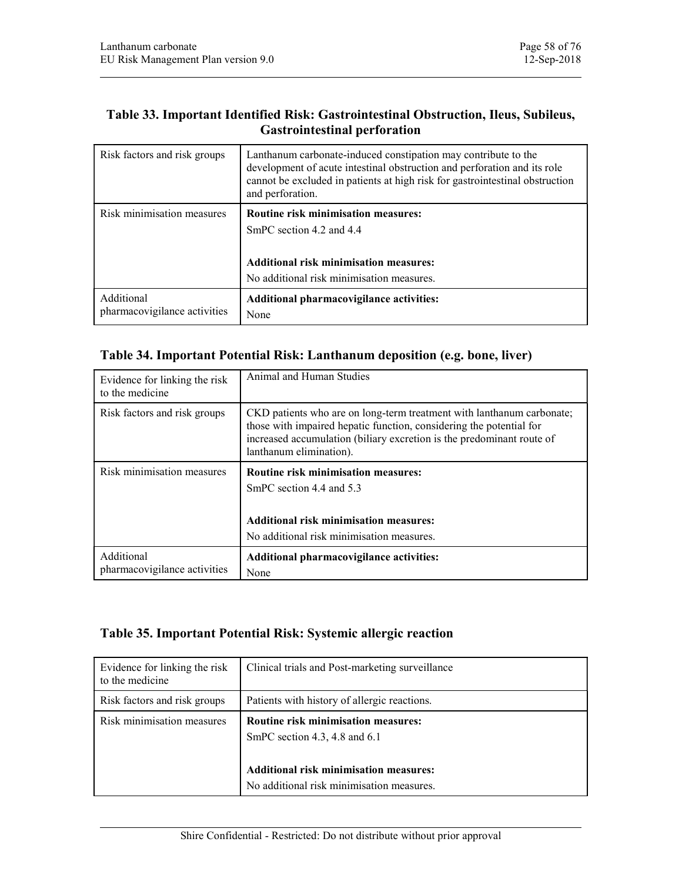## Gastrointestinal perforation

| Lanthanum carbonate                              |                                                                                                                                                                | Page 58 of 76                                                                       |
|--------------------------------------------------|----------------------------------------------------------------------------------------------------------------------------------------------------------------|-------------------------------------------------------------------------------------|
| EU Risk Management Plan version 9.0              |                                                                                                                                                                | 12-Sep-2018                                                                         |
|                                                  |                                                                                                                                                                |                                                                                     |
|                                                  | <b>Gastrointestinal perforation</b>                                                                                                                            | Table 33. Important Identified Risk: Gastrointestinal Obstruction, Ileus, Subileus, |
| Risk factors and risk groups                     | Lanthanum carbonate-induced constipation may contribute to the<br>development of acute intestinal obstruction and perforation and its role<br>and perforation. | cannot be excluded in patients at high risk for gastrointestinal obstruction        |
| Risk minimisation measures                       | Routine risk minimisation measures:<br>SmPC section 4.2 and 4.4                                                                                                |                                                                                     |
|                                                  |                                                                                                                                                                |                                                                                     |
|                                                  | <b>Additional risk minimisation measures:</b><br>No additional risk minimisation measures.                                                                     |                                                                                     |
| Additional                                       | Additional pharmacovigilance activities:                                                                                                                       |                                                                                     |
| pharmacovigilance activities                     | None                                                                                                                                                           |                                                                                     |
|                                                  | Table 34. Important Potential Risk: Lanthanum deposition (e.g. bone, liver)                                                                                    |                                                                                     |
| Evidence for linking the risk<br>to the medicine | Animal and Human Studies                                                                                                                                       |                                                                                     |
| Risk factors and risk groups                     |                                                                                                                                                                | CKD patients who are on long-term treatment with lanthanum carbonate;               |

| Table 34. Important Potential Risk: Lanthanum deposition (e.g. bone, liver) |                                                                                                                                                                                                                                                  |  |
|-----------------------------------------------------------------------------|--------------------------------------------------------------------------------------------------------------------------------------------------------------------------------------------------------------------------------------------------|--|
| Evidence for linking the risk<br>to the medicine                            | Animal and Human Studies                                                                                                                                                                                                                         |  |
| Risk factors and risk groups                                                | CKD patients who are on long-term treatment with lanthanum carbonate;<br>those with impaired hepatic function, considering the potential for<br>increased accumulation (biliary excretion is the predominant route of<br>lanthanum elimination). |  |
| Risk minimisation measures                                                  | Routine risk minimisation measures:                                                                                                                                                                                                              |  |
|                                                                             | SmPC section 4.4 and 5.3                                                                                                                                                                                                                         |  |
|                                                                             | <b>Additional risk minimisation measures:</b><br>No additional risk minimisation measures.                                                                                                                                                       |  |
| Additional                                                                  | Additional pharmacovigilance activities:                                                                                                                                                                                                         |  |
| pharmacovigilance activities                                                | None                                                                                                                                                                                                                                             |  |
|                                                                             | Table 35. Important Potential Risk: Systemic allergic reaction                                                                                                                                                                                   |  |
| Evidence for linking the risk<br>to the medicine                            | Clinical trials and Post-marketing surveillance                                                                                                                                                                                                  |  |
| Risk factors and risk groups                                                | Patients with history of allergic reactions.                                                                                                                                                                                                     |  |

| Evidence for linking the risk<br>to the medicine | Clinical trials and Post-marketing surveillance                                                                                                                             |
|--------------------------------------------------|-----------------------------------------------------------------------------------------------------------------------------------------------------------------------------|
| Risk factors and risk groups                     | Patients with history of allergic reactions.                                                                                                                                |
| Risk minimisation measures                       | <b>Routine risk minimisation measures:</b><br>SmPC section 4.3, 4.8 and $6.1$<br><b>Additional risk minimisation measures:</b><br>No additional risk minimisation measures. |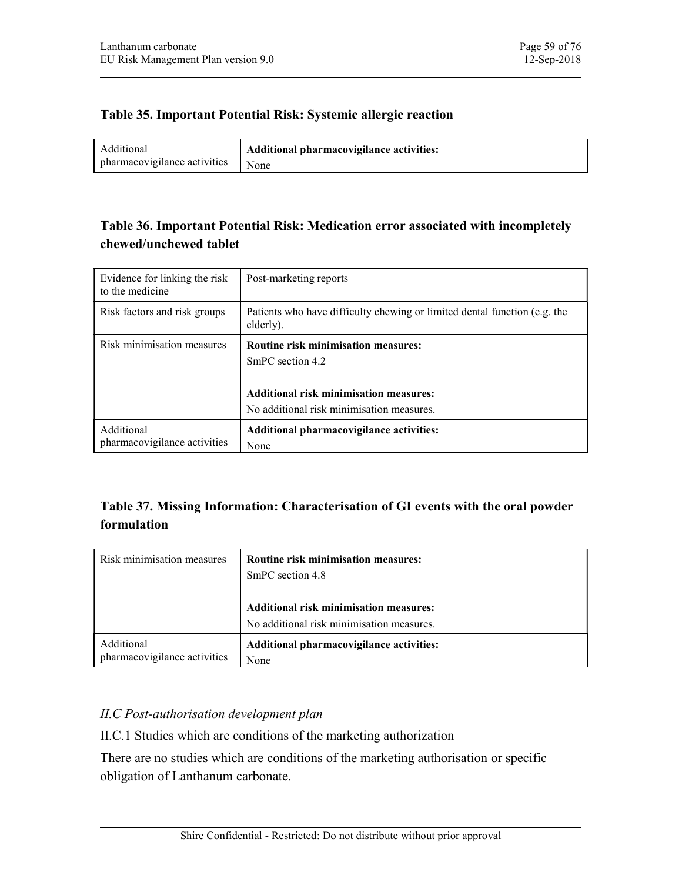| Lanthanum carbonate                 |                                                                | Page 59 of 76 |
|-------------------------------------|----------------------------------------------------------------|---------------|
| EU Risk Management Plan version 9.0 |                                                                | 12-Sep-2018   |
|                                     |                                                                |               |
|                                     | Table 35. Important Potential Risk: Systemic allergic reaction |               |
| Additional                          | Additional pharmacovigilance activities:                       |               |
| pharmacovigilance activities        | None                                                           |               |

# chewed/unchewed tablet

| Lanthanum carbonate<br>EU Risk Management Plan version 9.0 | Page 59 of 76<br>12-Sep-2018                                                           |
|------------------------------------------------------------|----------------------------------------------------------------------------------------|
|                                                            |                                                                                        |
|                                                            | Table 35. Important Potential Risk: Systemic allergic reaction                         |
| Additional                                                 | Additional pharmacovigilance activities:                                               |
| pharmacovigilance activities                               | None                                                                                   |
|                                                            |                                                                                        |
|                                                            | Table 36. Important Potential Risk: Medication error associated with incompletely      |
| chewed/unchewed tablet                                     |                                                                                        |
| Evidence for linking the risk<br>to the medicine           | Post-marketing reports                                                                 |
| Risk factors and risk groups                               | Patients who have difficulty chewing or limited dental function (e.g. the<br>elderly). |
| Risk minimisation measures                                 | Routine risk minimisation measures:                                                    |
|                                                            | SmPC section 4.2                                                                       |
|                                                            | Additional risk minimisation measures:                                                 |
|                                                            | No additional risk minimisation measures.                                              |
| Additional<br>pharmacovigilance activities                 | Additional pharmacovigilance activities:<br>None                                       |
|                                                            |                                                                                        |
|                                                            |                                                                                        |
|                                                            | Table 37. Missing Information: Characterisation of GI events with the oral powder      |
| formulation                                                |                                                                                        |
| Risk minimisation measures                                 | Routine risk minimisation measures:                                                    |
|                                                            | SmPC section 4.8                                                                       |

# formulation

| Risk minimisation measures   | <b>Routine risk minimisation measures:</b> |
|------------------------------|--------------------------------------------|
|                              | SmPC section 4.8                           |
|                              | Additional risk minimisation measures:     |
|                              | No additional risk minimisation measures.  |
| Additional                   | Additional pharmacovigilance activities:   |
| pharmacovigilance activities | None                                       |

## II.C Post-authorisation development plan

II.C.1 Studies which are conditions of the marketing authorization

There are no studies which are conditions of the marketing authorisation or specific obligation of Lanthanum carbonate.